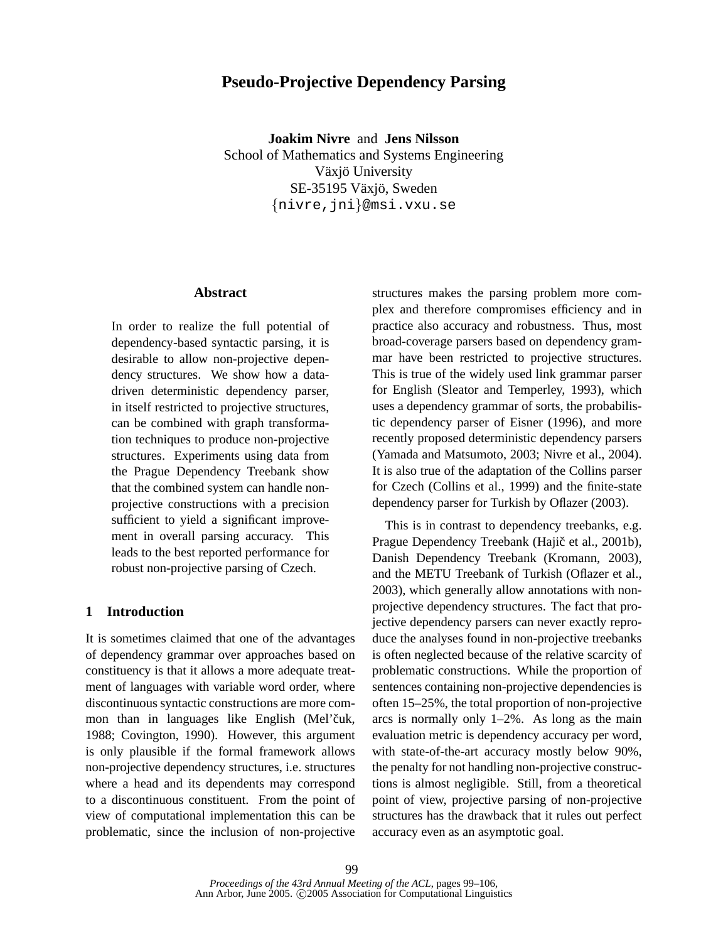# **Pseudo-Projective Dependency Parsing**

**Joakim Nivre** and **Jens Nilsson** School of Mathematics and Systems Engineering Växiö University SE-35195 Växjö, Sweden {nivre,jni}@msi.vxu.se

### **Abstract**

In order to realize the full potential of dependency-based syntactic parsing, it is desirable to allow non-projective dependency structures. We show how a datadriven deterministic dependency parser, in itself restricted to projective structures, can be combined with graph transformation techniques to produce non-projective structures. Experiments using data from the Prague Dependency Treebank show that the combined system can handle nonprojective constructions with a precision sufficient to yield a significant improvement in overall parsing accuracy. This leads to the best reported performance for robust non-projective parsing of Czech.

## **1 Introduction**

It is sometimes claimed that one of the advantages of dependency grammar over approaches based on constituency is that it allows a more adequate treatment of languages with variable word order, where discontinuous syntactic constructions are more common than in languages like English (Mel'čuk, 1988; Covington, 1990). However, this argument is only plausible if the formal framework allows non-projective dependency structures, i.e. structures where a head and its dependents may correspond to a discontinuous constituent. From the point of view of computational implementation this can be problematic, since the inclusion of non-projective structures makes the parsing problem more complex and therefore compromises efficiency and in practice also accuracy and robustness. Thus, most broad-coverage parsers based on dependency grammar have been restricted to projective structures. This is true of the widely used link grammar parser for English (Sleator and Temperley, 1993), which uses a dependency grammar of sorts, the probabilistic dependency parser of Eisner (1996), and more recently proposed deterministic dependency parsers (Yamada and Matsumoto, 2003; Nivre et al., 2004). It is also true of the adaptation of the Collins parser for Czech (Collins et al., 1999) and the finite-state dependency parser for Turkish by Oflazer (2003).

This is in contrast to dependency treebanks, e.g. Prague Dependency Treebank (Hajič et al., 2001b), Danish Dependency Treebank (Kromann, 2003), and the METU Treebank of Turkish (Oflazer et al., 2003), which generally allow annotations with nonprojective dependency structures. The fact that projective dependency parsers can never exactly reproduce the analyses found in non-projective treebanks is often neglected because of the relative scarcity of problematic constructions. While the proportion of sentences containing non-projective dependencies is often 15–25%, the total proportion of non-projective arcs is normally only 1–2%. As long as the main evaluation metric is dependency accuracy per word, with state-of-the-art accuracy mostly below 90%, the penalty for not handling non-projective constructions is almost negligible. Still, from a theoretical point of view, projective parsing of non-projective structures has the drawback that it rules out perfect accuracy even as an asymptotic goal.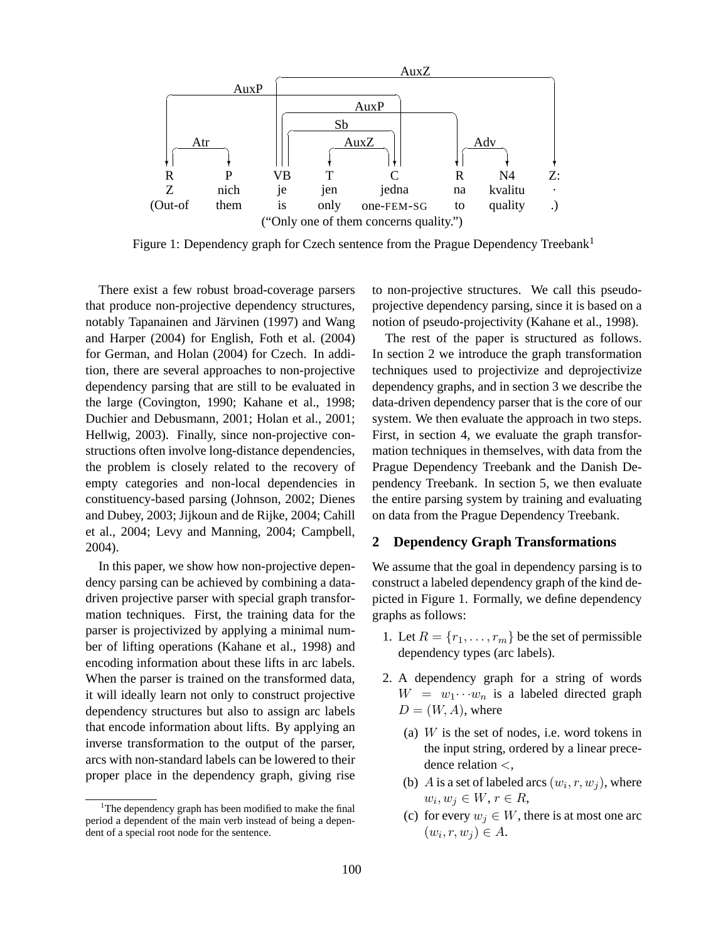

Figure 1: Dependency graph for Czech sentence from the Prague Dependency Treebank<sup>1</sup>

There exist a few robust broad-coverage parsers that produce non-projective dependency structures, notably Tapanainen and Järvinen (1997) and Wang and Harper (2004) for English, Foth et al. (2004) for German, and Holan (2004) for Czech. In addition, there are several approaches to non-projective dependency parsing that are still to be evaluated in the large (Covington, 1990; Kahane et al., 1998; Duchier and Debusmann, 2001; Holan et al., 2001; Hellwig, 2003). Finally, since non-projective constructions often involve long-distance dependencies, the problem is closely related to the recovery of empty categories and non-local dependencies in constituency-based parsing (Johnson, 2002; Dienes and Dubey, 2003; Jijkoun and de Rijke, 2004; Cahill et al., 2004; Levy and Manning, 2004; Campbell, 2004).

In this paper, we show how non-projective dependency parsing can be achieved by combining a datadriven projective parser with special graph transformation techniques. First, the training data for the parser is projectivized by applying a minimal number of lifting operations (Kahane et al., 1998) and encoding information about these lifts in arc labels. When the parser is trained on the transformed data, it will ideally learn not only to construct projective dependency structures but also to assign arc labels that encode information about lifts. By applying an inverse transformation to the output of the parser, arcs with non-standard labels can be lowered to their proper place in the dependency graph, giving rise

to non-projective structures. We call this pseudoprojective dependency parsing, since it is based on a notion of pseudo-projectivity (Kahane et al., 1998).

The rest of the paper is structured as follows. In section 2 we introduce the graph transformation techniques used to projectivize and deprojectivize dependency graphs, and in section 3 we describe the data-driven dependency parser that is the core of our system. We then evaluate the approach in two steps. First, in section 4, we evaluate the graph transformation techniques in themselves, with data from the Prague Dependency Treebank and the Danish Dependency Treebank. In section 5, we then evaluate the entire parsing system by training and evaluating on data from the Prague Dependency Treebank.

### **2 Dependency Graph Transformations**

We assume that the goal in dependency parsing is to construct a labeled dependency graph of the kind depicted in Figure 1. Formally, we define dependency graphs as follows:

- 1. Let  $R = \{r_1, \ldots, r_m\}$  be the set of permissible dependency types (arc labels).
- 2. A dependency graph for a string of words  $W = w_1 \cdots w_n$  is a labeled directed graph  $D = (W, A)$ , where
	- (a)  $W$  is the set of nodes, i.e. word tokens in the input string, ordered by a linear precedence relation <,
	- (b) A is a set of labeled arcs  $(w_i, r, w_j)$ , where  $w_i, w_j \in W, r \in R$
	- (c) for every  $w_j \in W$ , there is at most one arc  $(w_i, r, w_j) \in A.$

<sup>&</sup>lt;sup>1</sup>The dependency graph has been modified to make the final period a dependent of the main verb instead of being a dependent of a special root node for the sentence.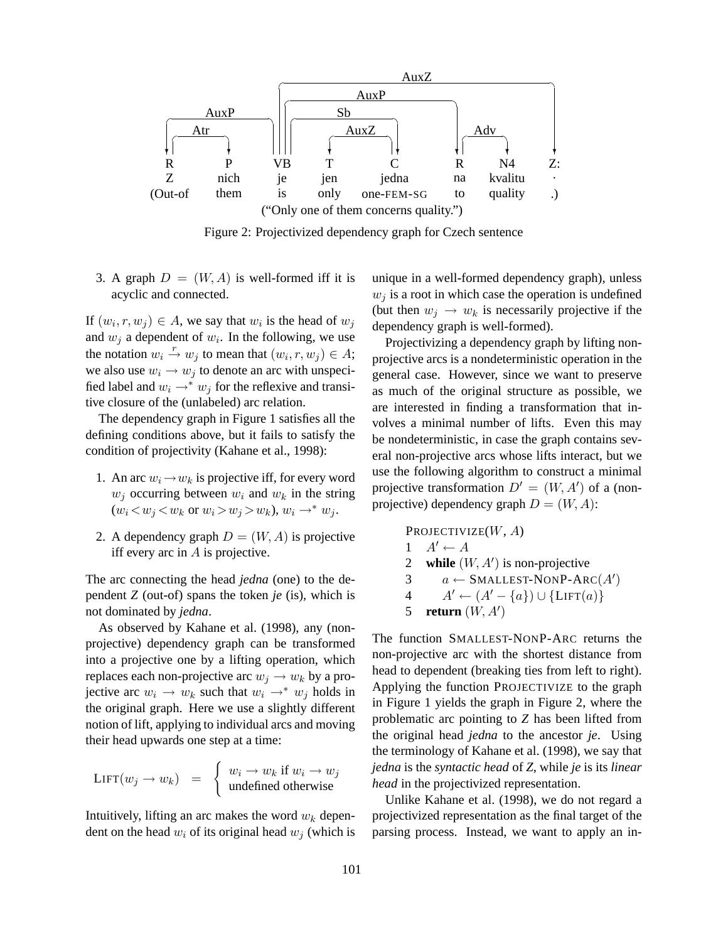

Figure 2: Projectivized dependency graph for Czech sentence

3. A graph  $D = (W, A)$  is well-formed iff it is acyclic and connected.

If  $(w_i, r, w_j) \in A$ , we say that  $w_i$  is the head of  $w_j$ and  $w_j$  a dependent of  $w_i$ . In the following, we use the notation  $w_i \stackrel{r}{\rightarrow} w_j$  to mean that  $(w_i, r, w_j) \in A$ ; we also use  $w_i \rightarrow w_j$  to denote an arc with unspecified label and  $w_i \rightarrow^* w_j$  for the reflexive and transitive closure of the (unlabeled) arc relation.

The dependency graph in Figure 1 satisfies all the defining conditions above, but it fails to satisfy the condition of projectivity (Kahane et al., 1998):

- 1. An arc  $w_i \rightarrow w_k$  is projective iff, for every word  $w_i$  occurring between  $w_i$  and  $w_k$  in the string  $(w_i < w_j < w_k \text{ or } w_i > w_j > w_k), w_i \rightarrow^* w_j.$
- 2. A dependency graph  $D = (W, A)$  is projective iff every arc in  $A$  is projective.

The arc connecting the head *jedna* (one) to the dependent *Z* (out-of) spans the token *je* (is), which is not dominated by *jedna*.

As observed by Kahane et al. (1998), any (nonprojective) dependency graph can be transformed into a projective one by a lifting operation, which replaces each non-projective arc  $w_j \to w_k$  by a projective arc  $w_i \rightarrow w_k$  such that  $w_i \rightarrow^* w_i$  holds in the original graph. Here we use a slightly different notion of lift, applying to individual arcs and moving their head upwards one step at a time:

$$
LIFT(w_j \to w_k) = \begin{cases} w_i \to w_k \text{ if } w_i \to w_j \\ \text{undefined otherwise} \end{cases}
$$

Intuitively, lifting an arc makes the word  $w_k$  dependent on the head  $w_i$  of its original head  $w_i$  (which is unique in a well-formed dependency graph), unless  $w_i$  is a root in which case the operation is undefined (but then  $w_j \to w_k$  is necessarily projective if the dependency graph is well-formed).

Projectivizing a dependency graph by lifting nonprojective arcs is a nondeterministic operation in the general case. However, since we want to preserve as much of the original structure as possible, we are interested in finding a transformation that involves a minimal number of lifts. Even this may be nondeterministic, in case the graph contains several non-projective arcs whose lifts interact, but we use the following algorithm to construct a minimal projective transformation  $D' = (W, A')$  of a (nonprojective) dependency graph  $D = (W, A)$ :

PROIECTIVIZE(*W*, *A*)  
\n1 
$$
A' \leftarrow A
$$
  
\n2 **while** (*W*, *A'*) is non-projective  
\n3  $a \leftarrow$  SMALLEST-NONP-ARC(*A'*)  
\n4  $A' \leftarrow (A' - \{a\}) \cup \{\text{LIFT}(a)\}$   
\n5 **return** (*W*, *A'*)

The function SMALLEST-NONP-ARC returns the non-projective arc with the shortest distance from head to dependent (breaking ties from left to right). Applying the function PROJECTIVIZE to the graph in Figure 1 yields the graph in Figure 2, where the problematic arc pointing to *Z* has been lifted from the original head *jedna* to the ancestor *je*. Using the terminology of Kahane et al. (1998), we say that *jedna* is the *syntactic head* of *Z*, while *je* is its *linear head* in the projectivized representation.

Unlike Kahane et al. (1998), we do not regard a projectivized representation as the final target of the parsing process. Instead, we want to apply an in-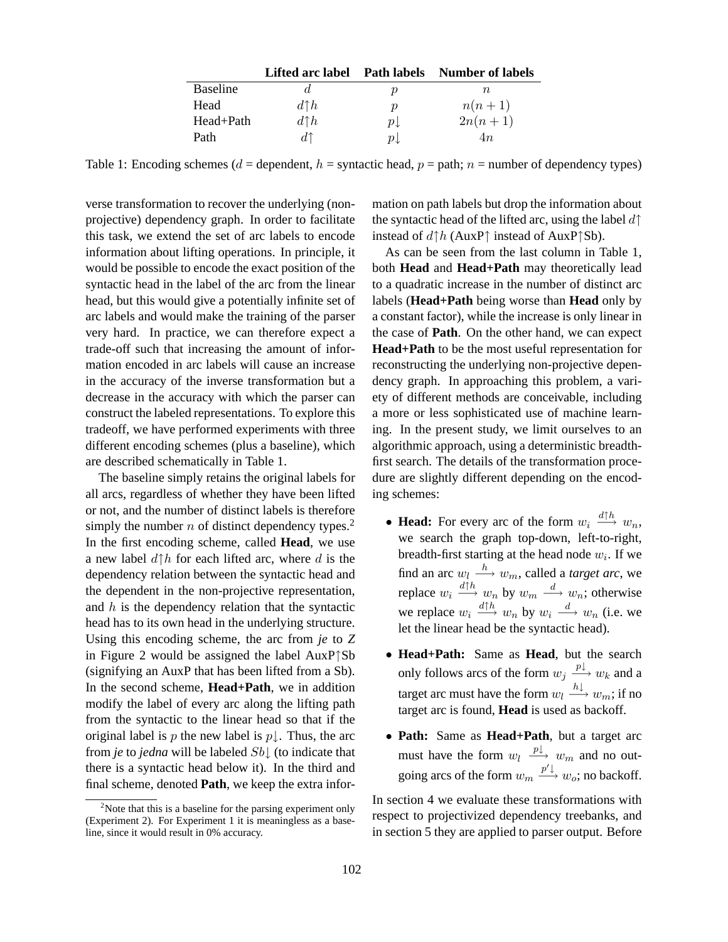|                 | Lifted arc label | Path labels | Number of labels |
|-----------------|------------------|-------------|------------------|
| <b>Baseline</b> |                  | v           | 'N               |
| Head            | $d \uparrow h$   | р           | $n(n+1)$         |
| Head+Path       | $d \uparrow h$   | $p_{\perp}$ | $2n(n+1)$        |
| Path            | $d\hat{ }$       | $p_{\perp}$ | 4п               |

Table 1: Encoding schemes (d = dependent, h = syntactic head,  $p =$  path; n = number of dependency types)

verse transformation to recover the underlying (nonprojective) dependency graph. In order to facilitate this task, we extend the set of arc labels to encode information about lifting operations. In principle, it would be possible to encode the exact position of the syntactic head in the label of the arc from the linear head, but this would give a potentially infinite set of arc labels and would make the training of the parser very hard. In practice, we can therefore expect a trade-off such that increasing the amount of information encoded in arc labels will cause an increase in the accuracy of the inverse transformation but a decrease in the accuracy with which the parser can construct the labeled representations. To explore this tradeoff, we have performed experiments with three different encoding schemes (plus a baseline), which are described schematically in Table 1.

The baseline simply retains the original labels for all arcs, regardless of whether they have been lifted or not, and the number of distinct labels is therefore simply the number n of distinct dependency types.<sup>2</sup> In the first encoding scheme, called **Head**, we use a new label  $d \uparrow h$  for each lifted arc, where d is the dependency relation between the syntactic head and the dependent in the non-projective representation, and  $h$  is the dependency relation that the syntactic head has to its own head in the underlying structure. Using this encoding scheme, the arc from *je* to *Z* in Figure 2 would be assigned the label AuxP↑Sb (signifying an AuxP that has been lifted from a Sb). In the second scheme, **Head+Path**, we in addition modify the label of every arc along the lifting path from the syntactic to the linear head so that if the original label is p the new label is  $p\downarrow$ . Thus, the arc from *je* to *jedna* will be labeled Sb↓ (to indicate that there is a syntactic head below it). In the third and final scheme, denoted **Path**, we keep the extra information on path labels but drop the information about the syntactic head of the lifted arc, using the label  $d\uparrow$ instead of  $d \uparrow h$  (AuxP $\uparrow$  instead of AuxP $\uparrow$ Sb).

As can be seen from the last column in Table 1, both **Head** and **Head+Path** may theoretically lead to a quadratic increase in the number of distinct arc labels (**Head+Path** being worse than **Head** only by a constant factor), while the increase is only linear in the case of **Path**. On the other hand, we can expect **Head+Path** to be the most useful representation for reconstructing the underlying non-projective dependency graph. In approaching this problem, a variety of different methods are conceivable, including a more or less sophisticated use of machine learning. In the present study, we limit ourselves to an algorithmic approach, using a deterministic breadthfirst search. The details of the transformation procedure are slightly different depending on the encoding schemes:

- **Head:** For every arc of the form  $w_i \stackrel{d{\uparrow}h}{\longrightarrow} w_n$ , we search the graph top-down, left-to-right, breadth-first starting at the head node  $w_i$ . If we find an arc  $w_l \stackrel{h}{\longrightarrow} w_m$ , called a *target arc*, we replace  $w_i \stackrel{d{\uparrow}h}{\longrightarrow} w_n$  by  $w_m \stackrel{d}{\longrightarrow} w_n$ ; otherwise we replace  $w_i \stackrel{d{\uparrow}h}{\longrightarrow} w_n$  by  $w_i \stackrel{d}{\longrightarrow} w_n$  (i.e. we let the linear head be the syntactic head).
- **Head+Path:** Same as **Head**, but the search only follows arcs of the form  $w_j \stackrel{p\downarrow}{\longrightarrow} w_k$  and a target arc must have the form  $w_l \stackrel{h\downarrow}{\longrightarrow} w_m$ ; if no target arc is found, **Head** is used as backoff.
- **Path:** Same as **Head+Path**, but a target arc must have the form  $w_l \stackrel{p\downarrow}{\longrightarrow} w_m$  and no outgoing arcs of the form  $w_m \xrightarrow{p' \downarrow} w_o$ ; no backoff.

In section 4 we evaluate these transformations with respect to projectivized dependency treebanks, and in section 5 they are applied to parser output. Before

 $2$ Note that this is a baseline for the parsing experiment only (Experiment 2). For Experiment 1 it is meaningless as a baseline, since it would result in 0% accuracy.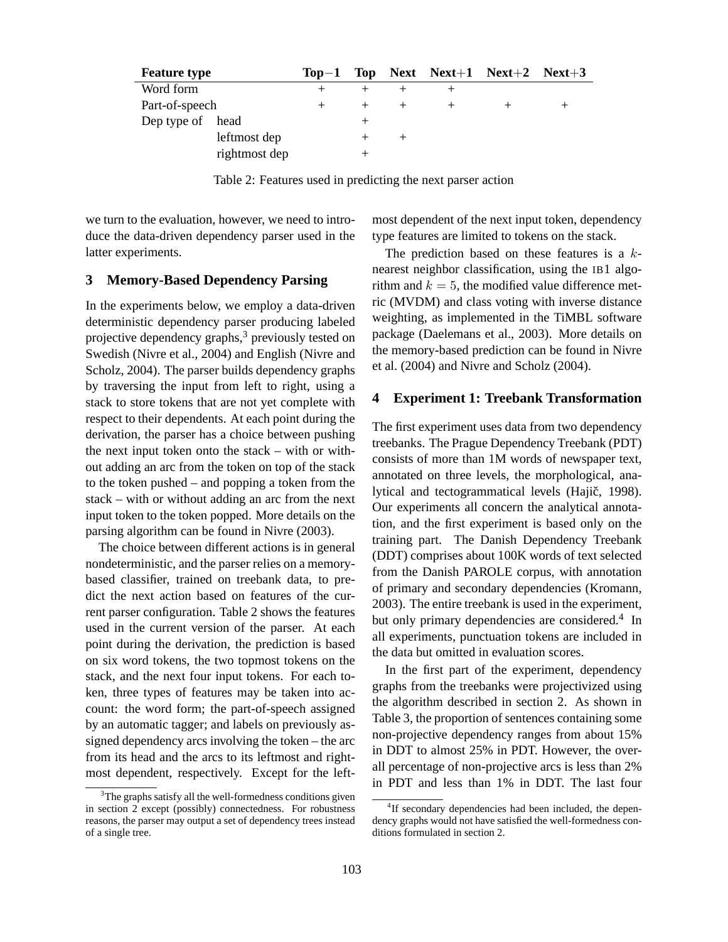| <b>Feature type</b> |               |  |     | $Top-1$ Top Next Next+1 Next+2 Next+3 |  |
|---------------------|---------------|--|-----|---------------------------------------|--|
| Word form           |               |  |     |                                       |  |
| Part-of-speech      |               |  |     |                                       |  |
| Dep type of head    |               |  |     |                                       |  |
|                     | leftmost dep  |  | $+$ |                                       |  |
|                     | rightmost dep |  |     |                                       |  |

Table 2: Features used in predicting the next parser action

we turn to the evaluation, however, we need to introduce the data-driven dependency parser used in the latter experiments.

#### **3 Memory-Based Dependency Parsing**

In the experiments below, we employ a data-driven deterministic dependency parser producing labeled projective dependency graphs,<sup>3</sup> previously tested on Swedish (Nivre et al., 2004) and English (Nivre and Scholz, 2004). The parser builds dependency graphs by traversing the input from left to right, using a stack to store tokens that are not yet complete with respect to their dependents. At each point during the derivation, the parser has a choice between pushing the next input token onto the stack – with or without adding an arc from the token on top of the stack to the token pushed – and popping a token from the stack – with or without adding an arc from the next input token to the token popped. More details on the parsing algorithm can be found in Nivre (2003).

The choice between different actions is in general nondeterministic, and the parser relies on a memorybased classifier, trained on treebank data, to predict the next action based on features of the current parser configuration. Table 2 shows the features used in the current version of the parser. At each point during the derivation, the prediction is based on six word tokens, the two topmost tokens on the stack, and the next four input tokens. For each token, three types of features may be taken into account: the word form; the part-of-speech assigned by an automatic tagger; and labels on previously assigned dependency arcs involving the token – the arc from its head and the arcs to its leftmost and rightmost dependent, respectively. Except for the leftmost dependent of the next input token, dependency type features are limited to tokens on the stack.

The prediction based on these features is a  $k$ nearest neighbor classification, using the IB1 algorithm and  $k = 5$ , the modified value difference metric (MVDM) and class voting with inverse distance weighting, as implemented in the TiMBL software package (Daelemans et al., 2003). More details on the memory-based prediction can be found in Nivre et al. (2004) and Nivre and Scholz (2004).

#### **4 Experiment 1: Treebank Transformation**

The first experiment uses data from two dependency treebanks. The Prague Dependency Treebank (PDT) consists of more than 1M words of newspaper text, annotated on three levels, the morphological, analytical and tectogrammatical levels (Hajič, 1998). Our experiments all concern the analytical annotation, and the first experiment is based only on the training part. The Danish Dependency Treebank (DDT) comprises about 100K words of text selected from the Danish PAROLE corpus, with annotation of primary and secondary dependencies (Kromann, 2003). The entire treebank is used in the experiment, but only primary dependencies are considered.<sup>4</sup> In all experiments, punctuation tokens are included in the data but omitted in evaluation scores.

In the first part of the experiment, dependency graphs from the treebanks were projectivized using the algorithm described in section 2. As shown in Table 3, the proportion of sentences containing some non-projective dependency ranges from about 15% in DDT to almost 25% in PDT. However, the overall percentage of non-projective arcs is less than 2% in PDT and less than 1% in DDT. The last four

 $3$ The graphs satisfy all the well-formedness conditions given in section 2 except (possibly) connectedness. For robustness reasons, the parser may output a set of dependency trees instead of a single tree.

<sup>&</sup>lt;sup>4</sup>If secondary dependencies had been included, the dependency graphs would not have satisfied the well-formedness conditions formulated in section 2.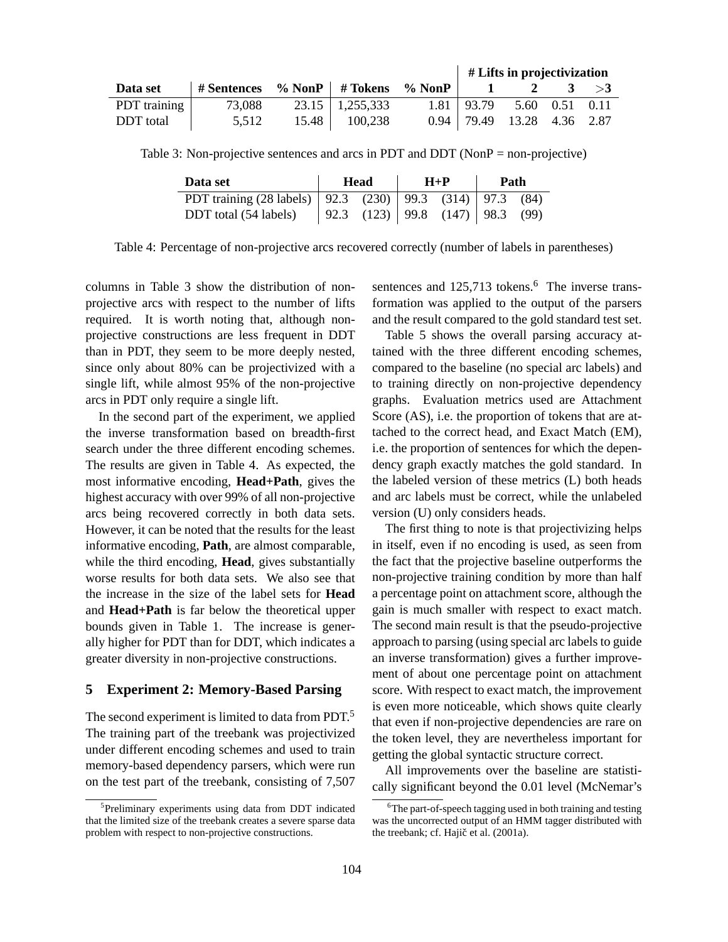|              |                                      |       |                     | # Lifts in projectivization    |                |                |           |
|--------------|--------------------------------------|-------|---------------------|--------------------------------|----------------|----------------|-----------|
| Data set     | # Sentences % NonP   # Tokens % NonP |       |                     |                                | $\overline{2}$ |                | $3 \t >3$ |
| PDT training | 73,088                               |       | $23.15$   1,255,333 | $1.81 \pm 93.79$               |                | 5.60 0.51 0.11 |           |
| DDT total    | 5.512                                | 15.48 | 100.238             | $0.94$   79.49 13.28 4.36 2.87 |                |                |           |

Table 3: Non-projective sentences and arcs in PDT and DDT (NonP = non-projective)

| Data set                                                                                            | Head |  | $H + P$ |  | Path |  |
|-----------------------------------------------------------------------------------------------------|------|--|---------|--|------|--|
| PDT training $(28 \text{ labels}) \mid 92.3 \quad (230) \mid 99.3 \quad (314) \mid 97.3 \quad (84)$ |      |  |         |  |      |  |
| DDT total (54 labels) $\begin{array}{ l} \n\end{array}$ 92.3 (123)   99.8 (147)   98.3 (99)         |      |  |         |  |      |  |

Table 4: Percentage of non-projective arcs recovered correctly (number of labels in parentheses)

columns in Table 3 show the distribution of nonprojective arcs with respect to the number of lifts required. It is worth noting that, although nonprojective constructions are less frequent in DDT than in PDT, they seem to be more deeply nested, since only about 80% can be projectivized with a single lift, while almost 95% of the non-projective arcs in PDT only require a single lift.

In the second part of the experiment, we applied the inverse transformation based on breadth-first search under the three different encoding schemes. The results are given in Table 4. As expected, the most informative encoding, **Head+Path**, gives the highest accuracy with over 99% of all non-projective arcs being recovered correctly in both data sets. However, it can be noted that the results for the least informative encoding, **Path**, are almost comparable, while the third encoding, **Head**, gives substantially worse results for both data sets. We also see that the increase in the size of the label sets for **Head** and **Head+Path** is far below the theoretical upper bounds given in Table 1. The increase is generally higher for PDT than for DDT, which indicates a greater diversity in non-projective constructions.

#### **5 Experiment 2: Memory-Based Parsing**

The second experiment is limited to data from PDT.<sup>5</sup> The training part of the treebank was projectivized under different encoding schemes and used to train memory-based dependency parsers, which were run on the test part of the treebank, consisting of 7,507

sentences and  $125,713$  tokens.<sup>6</sup> The inverse transformation was applied to the output of the parsers and the result compared to the gold standard test set.

Table 5 shows the overall parsing accuracy attained with the three different encoding schemes, compared to the baseline (no special arc labels) and to training directly on non-projective dependency graphs. Evaluation metrics used are Attachment Score (AS), i.e. the proportion of tokens that are attached to the correct head, and Exact Match (EM), i.e. the proportion of sentences for which the dependency graph exactly matches the gold standard. In the labeled version of these metrics (L) both heads and arc labels must be correct, while the unlabeled version (U) only considers heads.

The first thing to note is that projectivizing helps in itself, even if no encoding is used, as seen from the fact that the projective baseline outperforms the non-projective training condition by more than half a percentage point on attachment score, although the gain is much smaller with respect to exact match. The second main result is that the pseudo-projective approach to parsing (using special arc labels to guide an inverse transformation) gives a further improvement of about one percentage point on attachment score. With respect to exact match, the improvement is even more noticeable, which shows quite clearly that even if non-projective dependencies are rare on the token level, they are nevertheless important for getting the global syntactic structure correct.

All improvements over the baseline are statistically significant beyond the 0.01 level (McNemar's

<sup>&</sup>lt;sup>5</sup>Preliminary experiments using data from DDT indicated that the limited size of the treebank creates a severe sparse data problem with respect to non-projective constructions.

<sup>&</sup>lt;sup>6</sup>The part-of-speech tagging used in both training and testing was the uncorrected output of an HMM tagger distributed with the treebank; cf. Hajič et al.  $(2001a)$ .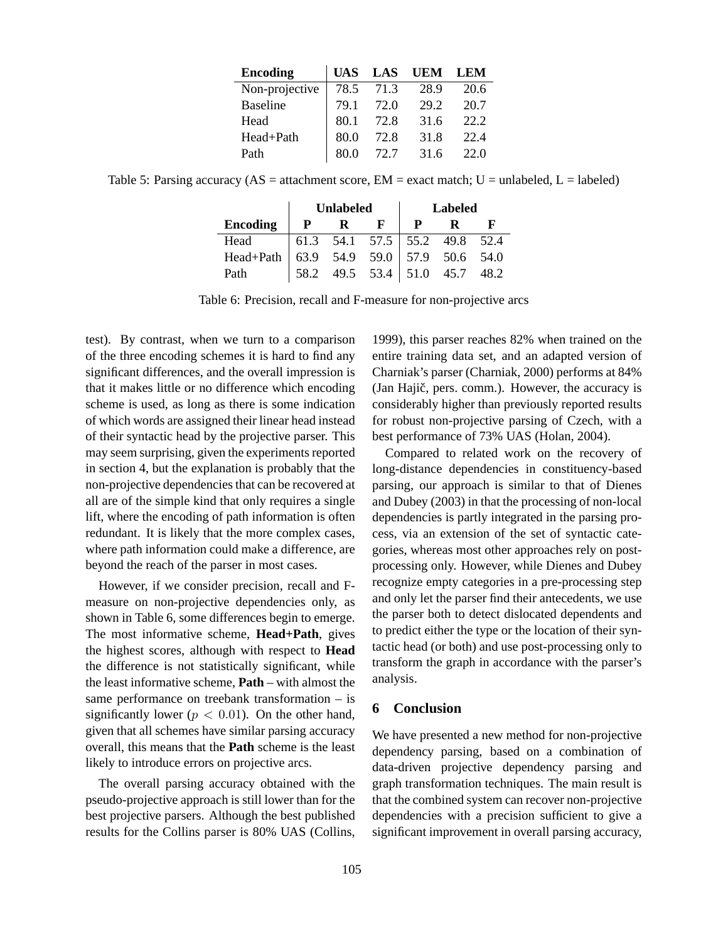| Encoding        |      | UAS LAS | UEM  | LEM  |
|-----------------|------|---------|------|------|
| Non-projective  | 78.5 | 71.3    | 28.9 | 20.6 |
| <b>Baseline</b> | 79.1 | 72.0    | 29.2 | 20.7 |
| Head            | 80.1 | 72.8    | 31.6 | 22.2 |
| Head+Path       | 80.0 | 72.8    | 31.8 | 22.4 |
| Path            | 80.0 | 72.7    | 31.6 | 22.0 |

Table 5: Parsing accuracy ( $AS =$  attachment score,  $EM =$  exact match; U = unlabeled,  $L =$  labeled)

|                                                                               | <b>Unlabeled</b> |       |             | <b>Labeled</b> |                               |  |
|-------------------------------------------------------------------------------|------------------|-------|-------------|----------------|-------------------------------|--|
| Encoding                                                                      |                  | $P$ R | $\mathbf F$ |                | $\mathbf{R}$                  |  |
| Head 61.3 54.1 57.5 55.2 49.8 52.4<br>Head+Path 63.9 54.9 59.0 57.9 50.6 54.0 |                  |       |             |                |                               |  |
|                                                                               |                  |       |             |                |                               |  |
| Path                                                                          |                  |       |             |                | 58.2 49.5 53.4 51.0 45.7 48.2 |  |

Table 6: Precision, recall and F-measure for non-projective arcs

test). By contrast, when we turn to a comparison of the three encoding schemes it is hard to find any significant differences, and the overall impression is that it makes little or no difference which encoding scheme is used, as long as there is some indication of which words are assigned their linear head instead of their syntactic head by the projective parser. This may seem surprising, given the experiments reported in section 4, but the explanation is probably that the non-projective dependencies that can be recovered at all are of the simple kind that only requires a single lift, where the encoding of path information is often redundant. It is likely that the more complex cases, where path information could make a difference, are beyond the reach of the parser in most cases.

However, if we consider precision, recall and Fmeasure on non-projective dependencies only, as shown in Table 6, some differences begin to emerge. The most informative scheme, **Head+Path**, gives the highest scores, although with respect to **Head** the difference is not statistically significant, while the least informative scheme, **Path** – with almost the same performance on treebank transformation – is significantly lower ( $p < 0.01$ ). On the other hand, given that all schemes have similar parsing accuracy overall, this means that the **Path** scheme is the least likely to introduce errors on projective arcs.

The overall parsing accuracy obtained with the pseudo-projective approach is still lower than for the best projective parsers. Although the best published results for the Collins parser is 80% UAS (Collins,

1999), this parser reaches 82% when trained on the entire training data set, and an adapted version of Charniak's parser (Charniak, 2000) performs at 84% (Jan Hajič, pers. comm.). However, the accuracy is considerably higher than previously reported results for robust non-projective parsing of Czech, with a best performance of 73% UAS (Holan, 2004).

Compared to related work on the recovery of long-distance dependencies in constituency-based parsing, our approach is similar to that of Dienes and Dubey (2003) in that the processing of non-local dependencies is partly integrated in the parsing process, via an extension of the set of syntactic categories, whereas most other approaches rely on postprocessing only. However, while Dienes and Dubey recognize empty categories in a pre-processing step and only let the parser find their antecedents, we use the parser both to detect dislocated dependents and to predict either the type or the location of their syntactic head (or both) and use post-processing only to transform the graph in accordance with the parser's analysis.

### **6 Conclusion**

We have presented a new method for non-projective dependency parsing, based on a combination of data-driven projective dependency parsing and graph transformation techniques. The main result is that the combined system can recover non-projective dependencies with a precision sufficient to give a significant improvement in overall parsing accuracy,